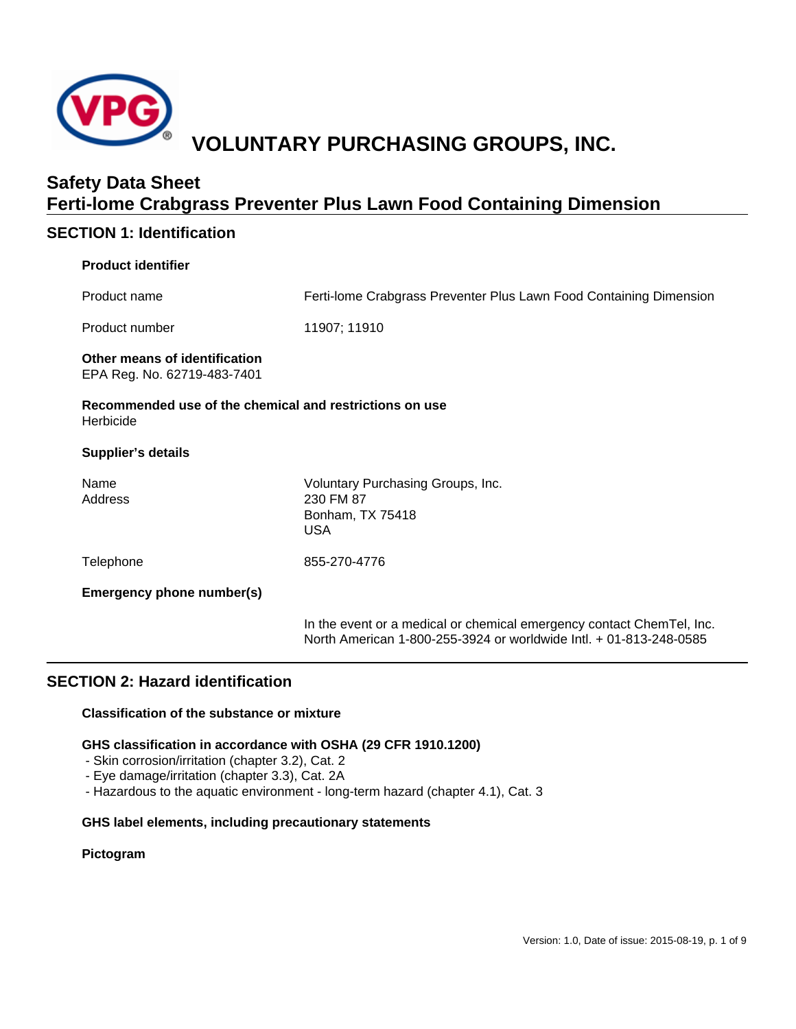

# **SECTION 1: Identification**

### **Product identifier**

| Product name                                                         | Ferti-Iome Crabgrass Preventer Plus Lawn Food Containing Dimension                                                                          |  |
|----------------------------------------------------------------------|---------------------------------------------------------------------------------------------------------------------------------------------|--|
| Product number                                                       | 11907; 11910                                                                                                                                |  |
| Other means of identification<br>EPA Reg. No. 62719-483-7401         |                                                                                                                                             |  |
| Recommended use of the chemical and restrictions on use<br>Herbicide |                                                                                                                                             |  |
| <b>Supplier's details</b>                                            |                                                                                                                                             |  |
| Name<br>Address                                                      | Voluntary Purchasing Groups, Inc.<br>230 FM 87<br>Bonham, TX 75418<br><b>USA</b>                                                            |  |
| Telephone                                                            | 855-270-4776                                                                                                                                |  |
| Emergency phone number(s)                                            |                                                                                                                                             |  |
|                                                                      | In the event or a medical or chemical emergency contact ChemTel, Inc.<br>North American 1-800-255-3924 or worldwide Intl. + 01-813-248-0585 |  |

### **SECTION 2: Hazard identification**

### **Classification of the substance or mixture**

### **GHS classification in accordance with OSHA (29 CFR 1910.1200)**

- Skin corrosion/irritation (chapter 3.2), Cat. 2
- Eye damage/irritation (chapter 3.3), Cat. 2A
- Hazardous to the aquatic environment long-term hazard (chapter 4.1), Cat. 3

### **GHS label elements, including precautionary statements**

### **Pictogram**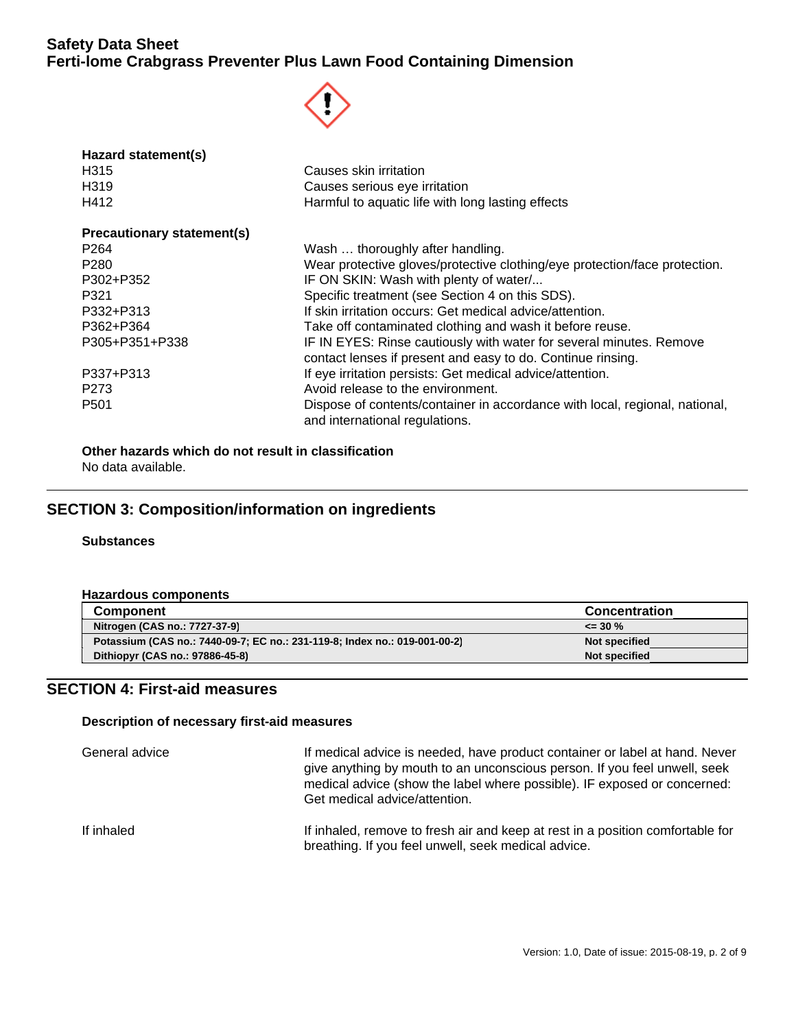

| Hazard statement(s)               |                                                                                                                                    |  |
|-----------------------------------|------------------------------------------------------------------------------------------------------------------------------------|--|
| H <sub>3</sub> 15                 | Causes skin irritation                                                                                                             |  |
| H <sub>3</sub> 19                 | Causes serious eye irritation                                                                                                      |  |
| H412                              | Harmful to aquatic life with long lasting effects                                                                                  |  |
| <b>Precautionary statement(s)</b> |                                                                                                                                    |  |
| P <sub>264</sub>                  | Wash  thoroughly after handling.                                                                                                   |  |
| P <sub>280</sub>                  | Wear protective gloves/protective clothing/eye protection/face protection.                                                         |  |
| P302+P352                         | IF ON SKIN: Wash with plenty of water/                                                                                             |  |
| P321                              | Specific treatment (see Section 4 on this SDS).                                                                                    |  |
| P332+P313                         | If skin irritation occurs: Get medical advice/attention.                                                                           |  |
| P362+P364                         | Take off contaminated clothing and wash it before reuse.                                                                           |  |
| P305+P351+P338                    | IF IN EYES: Rinse cautiously with water for several minutes. Remove<br>contact lenses if present and easy to do. Continue rinsing. |  |
| P337+P313                         | If eye irritation persists: Get medical advice/attention.                                                                          |  |
| P <sub>273</sub>                  | Avoid release to the environment.                                                                                                  |  |
| P <sub>501</sub>                  | Dispose of contents/container in accordance with local, regional, national,<br>and international regulations.                      |  |

**Other hazards which do not result in classification** No data available.

# **SECTION 3: Composition/information on ingredients**

### **Substances**

#### **Hazardous components**

| <b>Component</b>                                                           | <b>Concentration</b> |
|----------------------------------------------------------------------------|----------------------|
| Nitrogen (CAS no.: 7727-37-9)                                              | $\leq$ 30 %          |
| Potassium (CAS no.: 7440-09-7; EC no.: 231-119-8; Index no.: 019-001-00-2) | Not specified        |
| Dithiopyr (CAS no.: 97886-45-8)                                            | Not specified        |

# **SECTION 4: First-aid measures**

### **Description of necessary first-aid measures**

| General advice | If medical advice is needed, have product container or label at hand. Never<br>give anything by mouth to an unconscious person. If you feel unwell, seek<br>medical advice (show the label where possible). IF exposed or concerned:<br>Get medical advice/attention. |
|----------------|-----------------------------------------------------------------------------------------------------------------------------------------------------------------------------------------------------------------------------------------------------------------------|
| If inhaled     | If inhaled, remove to fresh air and keep at rest in a position comfortable for<br>breathing. If you feel unwell, seek medical advice.                                                                                                                                 |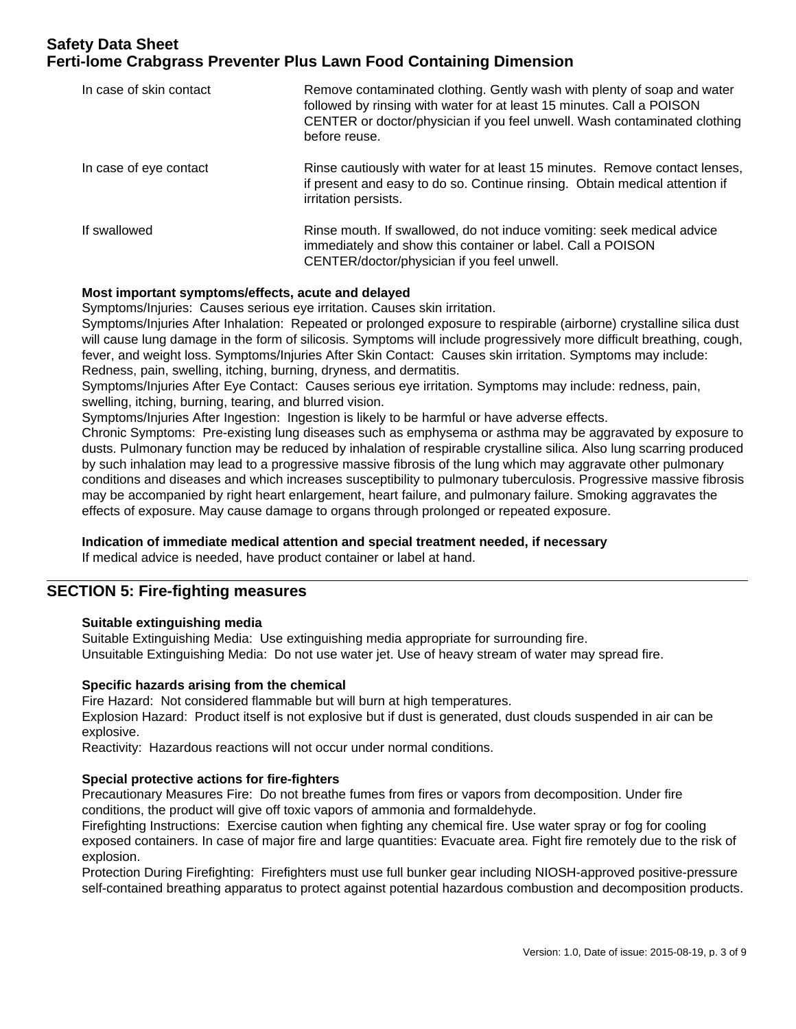| In case of skin contact | Remove contaminated clothing. Gently wash with plenty of soap and water<br>followed by rinsing with water for at least 15 minutes. Call a POISON<br>CENTER or doctor/physician if you feel unwell. Wash contaminated clothing<br>before reuse. |
|-------------------------|------------------------------------------------------------------------------------------------------------------------------------------------------------------------------------------------------------------------------------------------|
| In case of eye contact  | Rinse cautiously with water for at least 15 minutes. Remove contact lenses,<br>if present and easy to do so. Continue rinsing. Obtain medical attention if<br>irritation persists.                                                             |
| If swallowed            | Rinse mouth. If swallowed, do not induce vomiting: seek medical advice<br>immediately and show this container or label. Call a POISON<br>CENTER/doctor/physician if you feel unwell.                                                           |

### **Most important symptoms/effects, acute and delayed**

Symptoms/Injuries: Causes serious eye irritation. Causes skin irritation.

Symptoms/Injuries After Inhalation: Repeated or prolonged exposure to respirable (airborne) crystalline silica dust will cause lung damage in the form of silicosis. Symptoms will include progressively more difficult breathing, cough, fever, and weight loss. Symptoms/Injuries After Skin Contact: Causes skin irritation. Symptoms may include: Redness, pain, swelling, itching, burning, dryness, and dermatitis.

Symptoms/Injuries After Eye Contact: Causes serious eye irritation. Symptoms may include: redness, pain, swelling, itching, burning, tearing, and blurred vision.

Symptoms/Injuries After Ingestion: Ingestion is likely to be harmful or have adverse effects.

Chronic Symptoms: Pre-existing lung diseases such as emphysema or asthma may be aggravated by exposure to dusts. Pulmonary function may be reduced by inhalation of respirable crystalline silica. Also lung scarring produced by such inhalation may lead to a progressive massive fibrosis of the lung which may aggravate other pulmonary conditions and diseases and which increases susceptibility to pulmonary tuberculosis. Progressive massive fibrosis may be accompanied by right heart enlargement, heart failure, and pulmonary failure. Smoking aggravates the effects of exposure. May cause damage to organs through prolonged or repeated exposure.

### **Indication of immediate medical attention and special treatment needed, if necessary**

If medical advice is needed, have product container or label at hand.

### **SECTION 5: Fire-fighting measures**

### **Suitable extinguishing media**

Suitable Extinguishing Media: Use extinguishing media appropriate for surrounding fire. Unsuitable Extinguishing Media: Do not use water jet. Use of heavy stream of water may spread fire.

### **Specific hazards arising from the chemical**

Fire Hazard: Not considered flammable but will burn at high temperatures.

Explosion Hazard: Product itself is not explosive but if dust is generated, dust clouds suspended in air can be explosive.

Reactivity: Hazardous reactions will not occur under normal conditions.

### **Special protective actions for fire-fighters**

Precautionary Measures Fire: Do not breathe fumes from fires or vapors from decomposition. Under fire conditions, the product will give off toxic vapors of ammonia and formaldehyde.

Firefighting Instructions: Exercise caution when fighting any chemical fire. Use water spray or fog for cooling exposed containers. In case of major fire and large quantities: Evacuate area. Fight fire remotely due to the risk of explosion.

Protection During Firefighting: Firefighters must use full bunker gear including NIOSH-approved positive-pressure self-contained breathing apparatus to protect against potential hazardous combustion and decomposition products.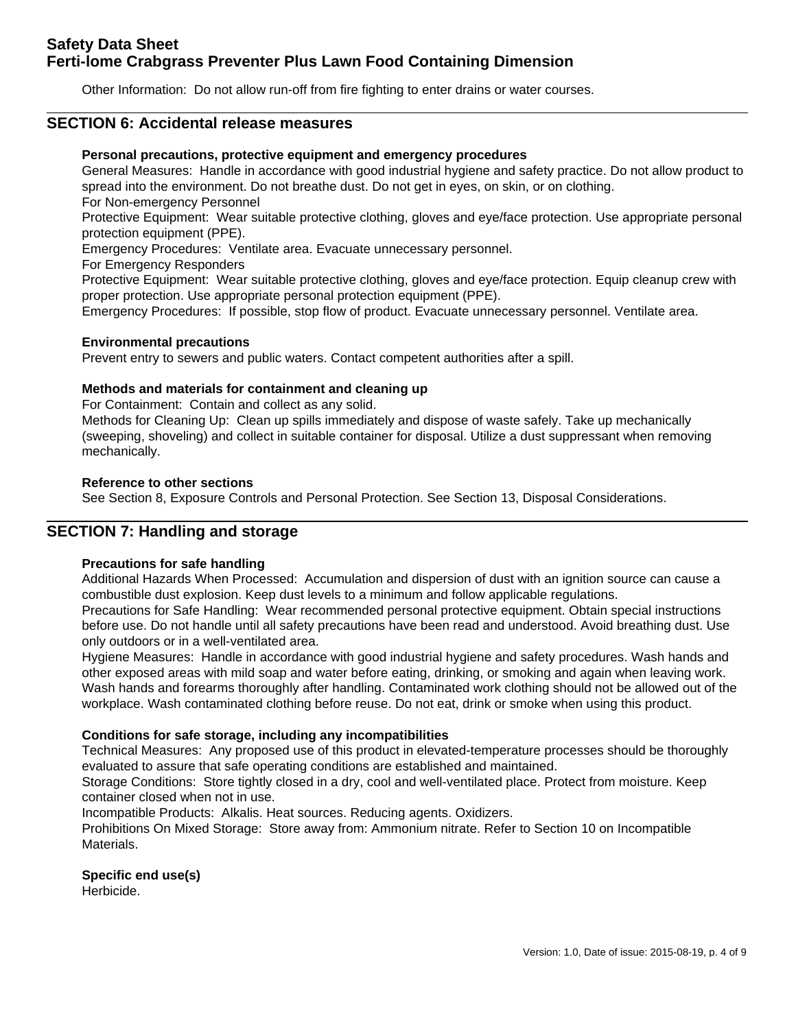Other Information: Do not allow run-off from fire fighting to enter drains or water courses.

### **SECTION 6: Accidental release measures**

### **Personal precautions, protective equipment and emergency procedures**

General Measures: Handle in accordance with good industrial hygiene and safety practice. Do not allow product to spread into the environment. Do not breathe dust. Do not get in eyes, on skin, or on clothing.

For Non-emergency Personnel

Protective Equipment: Wear suitable protective clothing, gloves and eye/face protection. Use appropriate personal protection equipment (PPE).

Emergency Procedures: Ventilate area. Evacuate unnecessary personnel.

For Emergency Responders

Protective Equipment: Wear suitable protective clothing, gloves and eye/face protection. Equip cleanup crew with proper protection. Use appropriate personal protection equipment (PPE).

Emergency Procedures: If possible, stop flow of product. Evacuate unnecessary personnel. Ventilate area.

### **Environmental precautions**

Prevent entry to sewers and public waters. Contact competent authorities after a spill.

### **Methods and materials for containment and cleaning up**

For Containment: Contain and collect as any solid.

Methods for Cleaning Up: Clean up spills immediately and dispose of waste safely. Take up mechanically (sweeping, shoveling) and collect in suitable container for disposal. Utilize a dust suppressant when removing mechanically.

### **Reference to other sections**

See Section 8, Exposure Controls and Personal Protection. See Section 13, Disposal Considerations.

### **SECTION 7: Handling and storage**

### **Precautions for safe handling**

Additional Hazards When Processed: Accumulation and dispersion of dust with an ignition source can cause a combustible dust explosion. Keep dust levels to a minimum and follow applicable regulations.

Precautions for Safe Handling: Wear recommended personal protective equipment. Obtain special instructions before use. Do not handle until all safety precautions have been read and understood. Avoid breathing dust. Use only outdoors or in a well-ventilated area.

Hygiene Measures: Handle in accordance with good industrial hygiene and safety procedures. Wash hands and other exposed areas with mild soap and water before eating, drinking, or smoking and again when leaving work. Wash hands and forearms thoroughly after handling. Contaminated work clothing should not be allowed out of the workplace. Wash contaminated clothing before reuse. Do not eat, drink or smoke when using this product.

### **Conditions for safe storage, including any incompatibilities**

Technical Measures: Any proposed use of this product in elevated-temperature processes should be thoroughly evaluated to assure that safe operating conditions are established and maintained.

Storage Conditions: Store tightly closed in a dry, cool and well-ventilated place. Protect from moisture. Keep container closed when not in use.

Incompatible Products: Alkalis. Heat sources. Reducing agents. Oxidizers.

Prohibitions On Mixed Storage: Store away from: Ammonium nitrate. Refer to Section 10 on Incompatible Materials.

# **Specific end use(s)**

Herbicide.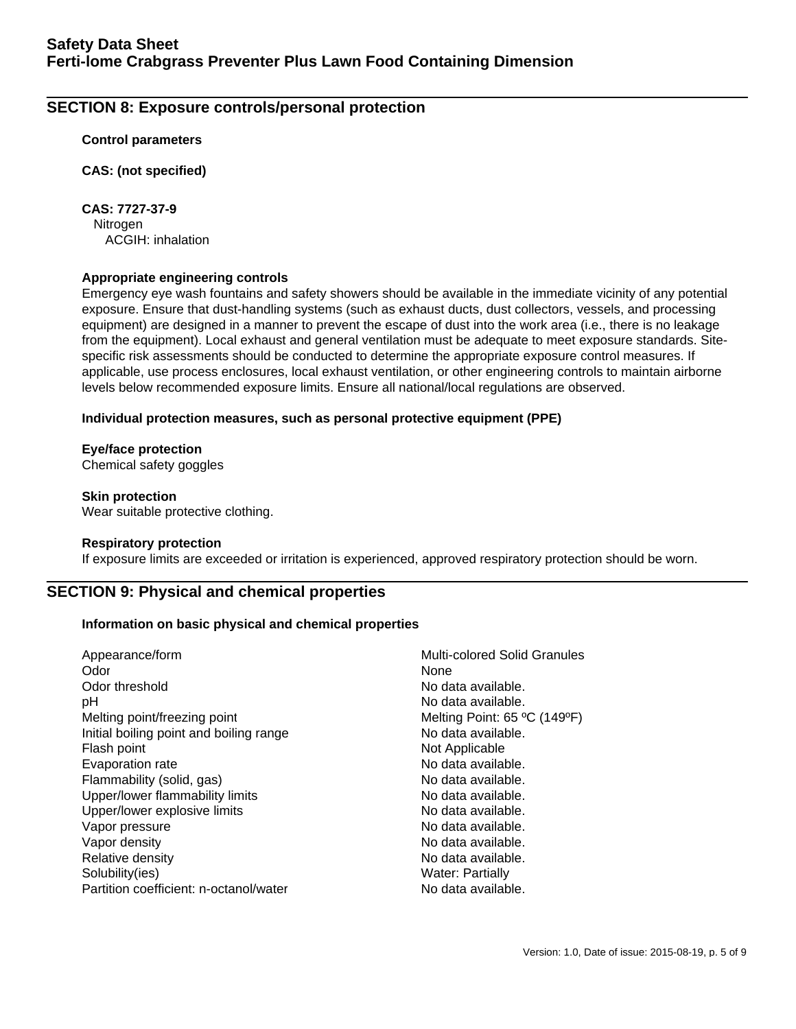# **SECTION 8: Exposure controls/personal protection**

### **Control parameters**

**CAS: (not specified)**

**CAS: 7727-37-9** Nitrogen ACGIH: inhalation

### **Appropriate engineering controls**

Emergency eye wash fountains and safety showers should be available in the immediate vicinity of any potential exposure. Ensure that dust-handling systems (such as exhaust ducts, dust collectors, vessels, and processing equipment) are designed in a manner to prevent the escape of dust into the work area (i.e., there is no leakage from the equipment). Local exhaust and general ventilation must be adequate to meet exposure standards. Sitespecific risk assessments should be conducted to determine the appropriate exposure control measures. If applicable, use process enclosures, local exhaust ventilation, or other engineering controls to maintain airborne levels below recommended exposure limits. Ensure all national/local regulations are observed.

### **Individual protection measures, such as personal protective equipment (PPE)**

### **Eye/face protection**

Chemical safety goggles

### **Skin protection**

Wear suitable protective clothing.

### **Respiratory protection**

If exposure limits are exceeded or irritation is experienced, approved respiratory protection should be worn.

### **SECTION 9: Physical and chemical properties**

### **Information on basic physical and chemical properties**

| Appearance/form                         | Multi-colored Solid Granules |
|-----------------------------------------|------------------------------|
| Odor                                    | None                         |
| Odor threshold                          | No data available.           |
| рH                                      | No data available.           |
| Melting point/freezing point            | Melting Point: 65 °C (149°F) |
| Initial boiling point and boiling range | No data available.           |
| Flash point                             | Not Applicable               |
| Evaporation rate                        | No data available.           |
| Flammability (solid, gas)               | No data available.           |
| Upper/lower flammability limits         | No data available.           |
| Upper/lower explosive limits            | No data available.           |
| Vapor pressure                          | No data available.           |
| Vapor density                           | No data available.           |
| Relative density                        | No data available.           |
| Solubility(ies)                         | <b>Water: Partially</b>      |
| Partition coefficient: n-octanol/water  | No data available.           |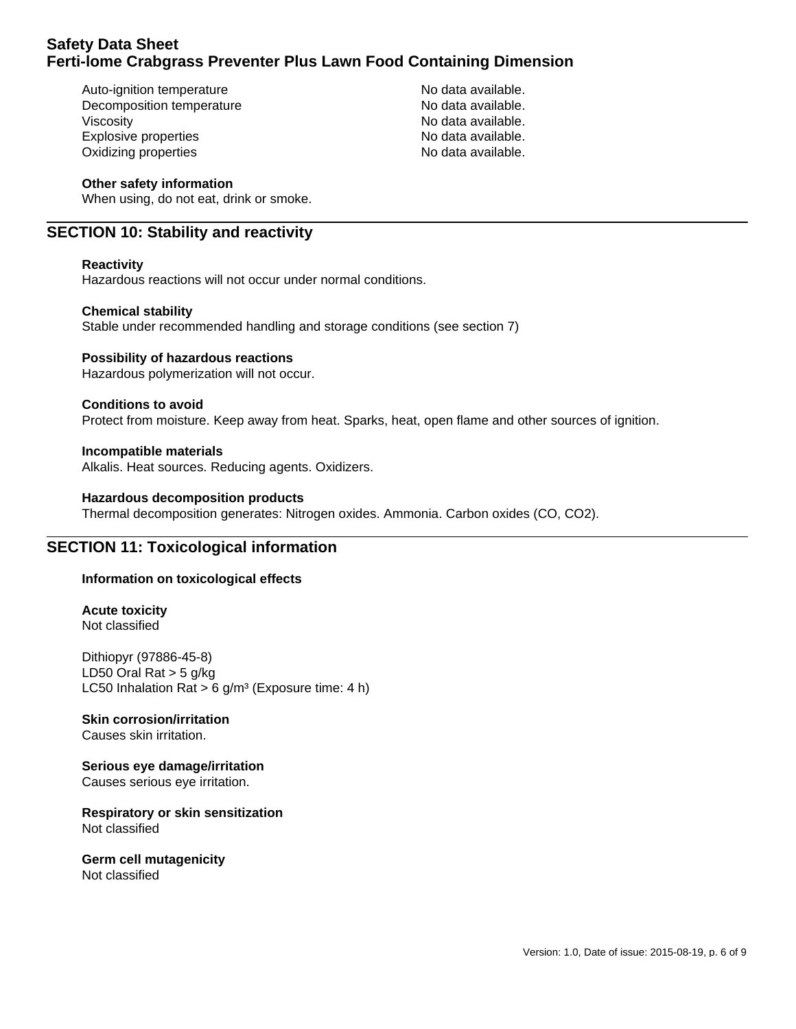Auto-ignition temperature No data available. Decomposition temperature No data available. Viscosity **No data available.** Explosive properties **No assume that a** No data available. Oxidizing properties No data available.

### **Other safety information**

When using, do not eat, drink or smoke.

### **SECTION 10: Stability and reactivity**

### **Reactivity**

Hazardous reactions will not occur under normal conditions.

### **Chemical stability**

Stable under recommended handling and storage conditions (see section 7)

### **Possibility of hazardous reactions**

Hazardous polymerization will not occur.

### **Conditions to avoid**

Protect from moisture. Keep away from heat. Sparks, heat, open flame and other sources of ignition.

**Incompatible materials** Alkalis. Heat sources. Reducing agents. Oxidizers.

#### **Hazardous decomposition products**

Thermal decomposition generates: Nitrogen oxides. Ammonia. Carbon oxides (CO, CO2).

### **SECTION 11: Toxicological information**

### **Information on toxicological effects**

**Acute toxicity** Not classified

Dithiopyr (97886-45-8) LD50 Oral Rat  $>$  5 g/kg LC50 Inhalation Rat > 6  $q/m^3$  (Exposure time: 4 h)

### **Skin corrosion/irritation**

Causes skin irritation.

### **Serious eye damage/irritation**

Causes serious eye irritation.

**Respiratory or skin sensitization** Not classified

#### **Germ cell mutagenicity** Not classified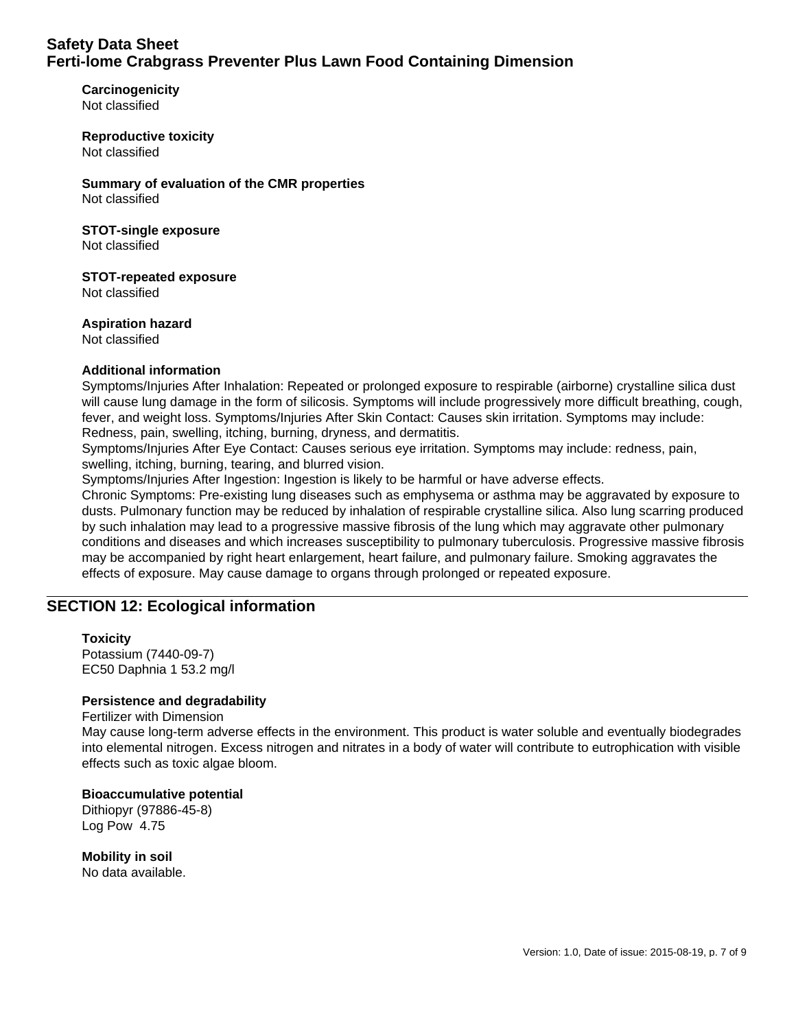**Carcinogenicity** Not classified

**Reproductive toxicity** Not classified

**Summary of evaluation of the CMR properties** Not classified

# **STOT-single exposure**

Not classified

**STOT-repeated exposure** Not classified

### **Aspiration hazard**

Not classified

### **Additional information**

Symptoms/Injuries After Inhalation: Repeated or prolonged exposure to respirable (airborne) crystalline silica dust will cause lung damage in the form of silicosis. Symptoms will include progressively more difficult breathing, cough, fever, and weight loss. Symptoms/Injuries After Skin Contact: Causes skin irritation. Symptoms may include: Redness, pain, swelling, itching, burning, dryness, and dermatitis.

Symptoms/Injuries After Eye Contact: Causes serious eye irritation. Symptoms may include: redness, pain, swelling, itching, burning, tearing, and blurred vision.

Symptoms/Injuries After Ingestion: Ingestion is likely to be harmful or have adverse effects.

Chronic Symptoms: Pre-existing lung diseases such as emphysema or asthma may be aggravated by exposure to dusts. Pulmonary function may be reduced by inhalation of respirable crystalline silica. Also lung scarring produced by such inhalation may lead to a progressive massive fibrosis of the lung which may aggravate other pulmonary conditions and diseases and which increases susceptibility to pulmonary tuberculosis. Progressive massive fibrosis may be accompanied by right heart enlargement, heart failure, and pulmonary failure. Smoking aggravates the effects of exposure. May cause damage to organs through prolonged or repeated exposure.

### **SECTION 12: Ecological information**

### **Toxicity**

Potassium (7440-09-7) EC50 Daphnia 1 53.2 mg/l

### **Persistence and degradability**

#### Fertilizer with Dimension

May cause long-term adverse effects in the environment. This product is water soluble and eventually biodegrades into elemental nitrogen. Excess nitrogen and nitrates in a body of water will contribute to eutrophication with visible effects such as toxic algae bloom.

#### **Bioaccumulative potential**

Dithiopyr (97886-45-8) Log Pow 4.75

**Mobility in soil** No data available.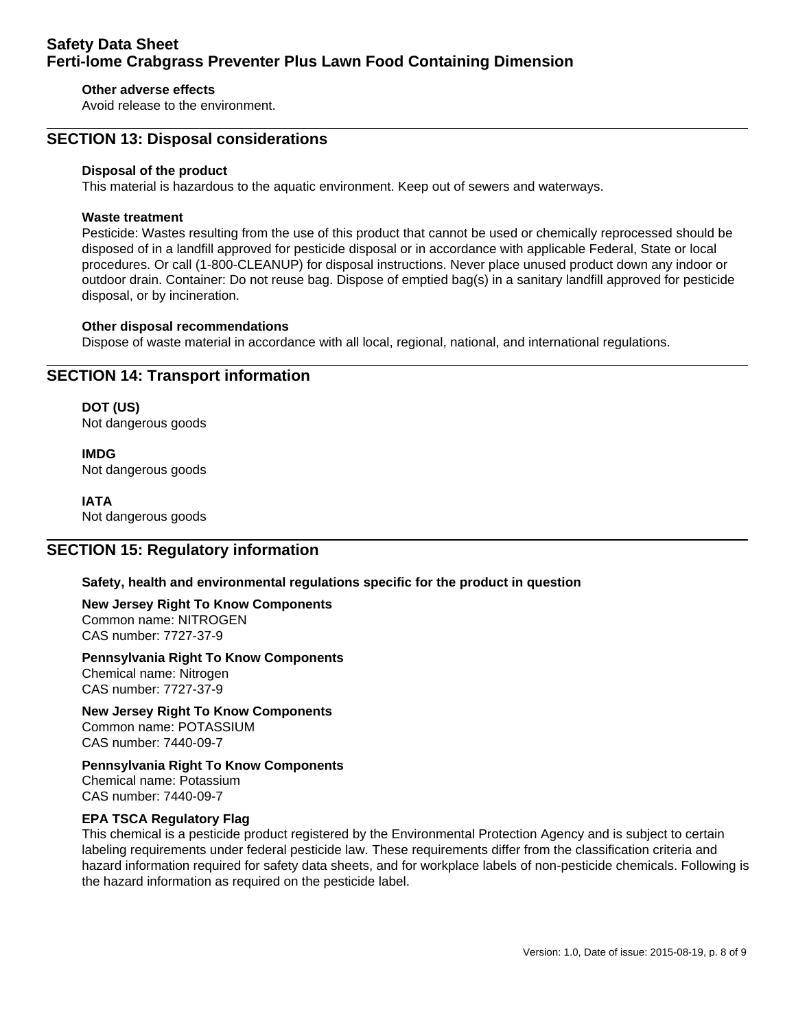### **Other adverse effects**

Avoid release to the environment.

### **SECTION 13: Disposal considerations**

#### **Disposal of the product**

This material is hazardous to the aquatic environment. Keep out of sewers and waterways.

#### **Waste treatment**

Pesticide: Wastes resulting from the use of this product that cannot be used or chemically reprocessed should be disposed of in a landfill approved for pesticide disposal or in accordance with applicable Federal, State or local procedures. Or call (1-800-CLEANUP) for disposal instructions. Never place unused product down any indoor or outdoor drain. Container: Do not reuse bag. Dispose of emptied bag(s) in a sanitary landfill approved for pesticide disposal, or by incineration.

#### **Other disposal recommendations**

Dispose of waste material in accordance with all local, regional, national, and international regulations.

### **SECTION 14: Transport information**

**DOT (US)** Not dangerous goods

**IMDG** Not dangerous goods

**IATA** Not dangerous goods

### **SECTION 15: Regulatory information**

### **Safety, health and environmental regulations specific for the product in question**

#### **New Jersey Right To Know Components** Common name: NITROGEN CAS number: 7727-37-9

### **Pennsylvania Right To Know Components**

Chemical name: Nitrogen CAS number: 7727-37-9

**New Jersey Right To Know Components** Common name: POTASSIUM CAS number: 7440-09-7

**Pennsylvania Right To Know Components** Chemical name: Potassium CAS number: 7440-09-7

### **EPA TSCA Regulatory Flag**

This chemical is a pesticide product registered by the Environmental Protection Agency and is subject to certain labeling requirements under federal pesticide law. These requirements differ from the classification criteria and hazard information required for safety data sheets, and for workplace labels of non-pesticide chemicals. Following is the hazard information as required on the pesticide label.